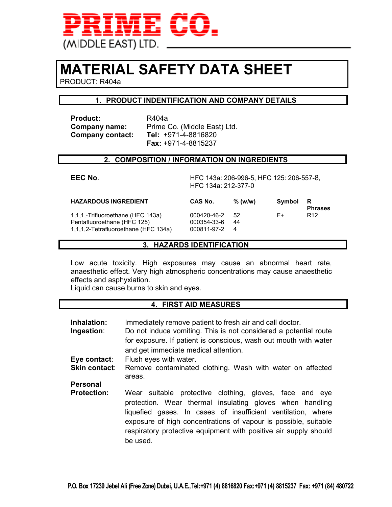

## **MATERIAL SAFETY DATA SHEET**

PRODUCT: R404a

#### **1. PRODUCT INDENTIFICATION AND COMPANY DETAILS**

Product: R404a **Company contact:** 

**Company name:** Prime Co. (Middle East) Ltd.<br>**Company contact: Tel:** +971-4-8816820  **Fax:** +971-4-8815237

#### **2. COMPOSITION / INFORMATION ON INGREDIENTS**

**EEC No**. HFC 143a: 206-996-5, HFC 125: 206-557-8, HFC 134a: 212-377-0

| <b>HAZARDOUS INGREDIENT</b>                                                                              | CAS No.                                     | % (w/w)  | Symbol | R<br><b>Phrases</b> |
|----------------------------------------------------------------------------------------------------------|---------------------------------------------|----------|--------|---------------------|
| 1,1,1,-Trifluoroethane (HFC 143a)<br>Pentafluoroethane (HFC 125)<br>1,1,1,2-Tetrafluoroethane (HFC 134a) | 000420-46-2<br>000354-33-6<br>000811-97-2 4 | 52<br>44 | F+     | R <sub>12</sub>     |

#### **3. HAZARDS IDENTIFICATION**

Low acute toxicity. High exposures may cause an abnormal heart rate, anaesthetic effect. Very high atmospheric concentrations may cause anaesthetic effects and asphyxiation.

Liquid can cause burns to skin and eyes.

#### **4. FIRST AID MEASURES**

| Inhalation:<br>Ingestion: | Immediately remove patient to fresh air and call doctor.<br>Do not induce vomiting. This is not considered a potential route<br>for exposure. If patient is conscious, wash out mouth with water<br>and get immediate medical attention.                                                                                               |  |  |
|---------------------------|----------------------------------------------------------------------------------------------------------------------------------------------------------------------------------------------------------------------------------------------------------------------------------------------------------------------------------------|--|--|
| Eye contact:              | Flush eyes with water.                                                                                                                                                                                                                                                                                                                 |  |  |
| <b>Skin contact:</b>      | Remove contaminated clothing. Wash with water on affected<br>areas.                                                                                                                                                                                                                                                                    |  |  |
| <b>Personal</b>           |                                                                                                                                                                                                                                                                                                                                        |  |  |
| <b>Protection:</b>        | Wear suitable protective clothing, gloves, face and eye<br>protection. Wear thermal insulating gloves when handling<br>liquefied gases. In cases of insufficient ventilation, where<br>exposure of high concentrations of vapour is possible, suitable<br>respiratory protective equipment with positive air supply should<br>be used. |  |  |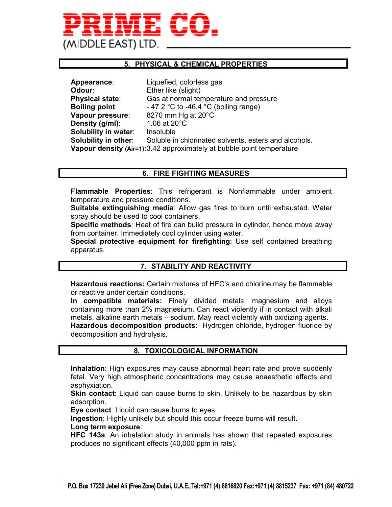# MIDDLE EAST) LTD

#### **5. PHYSICAL & CHEMICAL PROPERTIES**

| Appearance:            | Liquefied, colorless gas                                              |
|------------------------|-----------------------------------------------------------------------|
| Odour:                 | Ether like (slight)                                                   |
| <b>Physical state:</b> | Gas at normal temperature and pressure                                |
| <b>Boiling point:</b>  | - 47.2 °C to -46.4 °C (boiling range)                                 |
| Vapour pressure:       | 8270 mm Hg at 20°C                                                    |
| Density (g/ml):        | 1.06 at 20°C                                                          |
| Solubility in water:   | Insoluble                                                             |
| Solubility in other:   | Soluble in chlorinated solvents, esters and alcohols.                 |
|                        | Vapour density (Air=1):3.42 approximately at bubble point temperature |

#### **6. FIRE FIGHTING MEASURES**

**Flammable Properties**: This refrigerant is Nonflammable under ambient temperature and pressure conditions.

**Suitable extinguishing media**: Allow gas fires to burn until exhausted. Water spray should be used to cool containers.

**Specific methods**: Heat of fire can build pressure in cylinder, hence move away from container. Immediately cool cylinder using water.

**Special protective equipment for firefighting**: Use self contained breathing apparatus.

#### **7. STABILITY AND REACTIVITY**

**Hazardous reactions:** Certain mixtures of HFC's and chlorine may be flammable or reactive under certain conditions.

**In compatible materials:** Finely divided metals, magnesium and alloys containing more than 2% magnesium. Can react violently if in contact with alkali metals, alkaline earth metals – sodium. May react violently with oxidizing agents. **Hazardous decomposition products:** Hydrogen chloride, hydrogen fluoride by decomposition and hydrolysis.

#### **8. TOXICOLOGICAL INFORMATION**

**Inhalation**: High exposures may cause abnormal heart rate and prove suddenly fatal. Very high atmospheric concentrations may cause anaesthetic effects and asphyxiation.

**Skin contact**: Liquid can cause burns to skin. Unlikely to be hazardous by skin adsorption.

**Eye contact**: Liquid can cause burns to eyes.

**Ingestion**: Highly unlikely but should this occur freeze burns will result.

#### **Long term exposure**:

**HFC 143a**: An inhalation study in animals has shown that repeated exposures produces no significant effects (40,000 ppm in rats).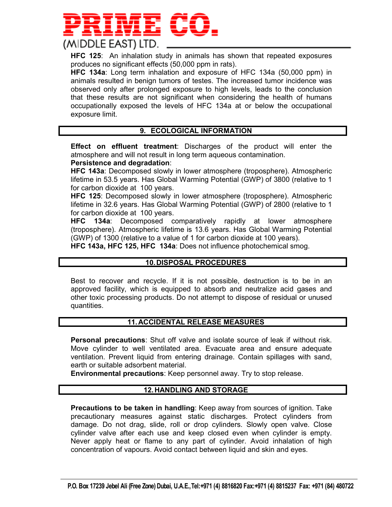

**HFC 125**: An inhalation study in animals has shown that repeated exposures produces no significant effects (50,000 ppm in rats).

**HFC 134a**: Long term inhalation and exposure of HFC 134a (50,000 ppm) in animals resulted in benign tumors of testes. The increased tumor incidence was observed only after prolonged exposure to high levels, leads to the conclusion that these results are not significant when considering the health of humans occupationally exposed the levels of HFC 134a at or below the occupational exposure limit.

#### **9. ECOLOGICAL INFORMATION**

**Effect on effluent treatment**: Discharges of the product will enter the atmosphere and will not result in long term aqueous contamination.

**Persistence and degradation**:

**HFC 143a**: Decomposed slowly in lower atmosphere (troposphere). Atmospheric lifetime in 53.5 years. Has Global Warming Potential (GWP) of 3800 (relative to 1 for carbon dioxide at 100 years.

**HFC 125**: Decomposed slowly in lower atmosphere (troposphere). Atmospheric lifetime in 32.6 years. Has Global Warming Potential (GWP) of 2800 (relative to 1 for carbon dioxide at 100 years.

**HFC 134a**: Decomposed comparatively rapidly at lower atmosphere (troposphere). Atmospheric lifetime is 13.6 years. Has Global Warming Potential (GWP) of 1300 (relative to a value of 1 for carbon dioxide at 100 years).

**HFC 143a, HFC 125, HFC 134a**: Does not influence photochemical smog.

#### **10. DISPOSAL PROCEDURES**

Best to recover and recycle. If it is not possible, destruction is to be in an approved facility, which is equipped to absorb and neutralize acid gases and other toxic processing products. Do not attempt to dispose of residual or unused quantities.

#### **11. ACCIDENTAL RELEASE MEASURES**

**Personal precautions**: Shut off valve and isolate source of leak if without risk. Move cylinder to well ventilated area. Evacuate area and ensure adequate ventilation. Prevent liquid from entering drainage. Contain spillages with sand, earth or suitable adsorbent material.

**Environmental precautions**: Keep personnel away. Try to stop release.

#### **12. HANDLING AND STORAGE**

**Precautions to be taken in handling**: Keep away from sources of ignition. Take precautionary measures against static discharges. Protect cylinders from damage. Do not drag, slide, roll or drop cylinders. Slowly open valve. Close cylinder valve after each use and keep closed even when cylinder is empty. Never apply heat or flame to any part of cylinder. Avoid inhalation of high concentration of vapours. Avoid contact between liquid and skin and eyes.